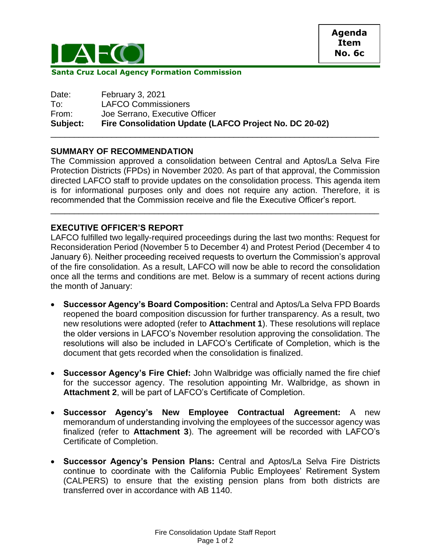

**Santa Cruz Local Agency Formation Commission**

| <b>LAFCO Commissioners</b>                             |
|--------------------------------------------------------|
| Joe Serrano, Executive Officer                         |
| Fire Consolidation Update (LAFCO Project No. DC 20-02) |
|                                                        |

## **SUMMARY OF RECOMMENDATION**

The Commission approved a consolidation between Central and Aptos/La Selva Fire Protection Districts (FPDs) in November 2020. As part of that approval, the Commission directed LAFCO staff to provide updates on the consolidation process. This agenda item is for informational purposes only and does not require any action. Therefore, it is recommended that the Commission receive and file the Executive Officer's report.

\_\_\_\_\_\_\_\_\_\_\_\_\_\_\_\_\_\_\_\_\_\_\_\_\_\_\_\_\_\_\_\_\_\_\_\_\_\_\_\_\_\_\_\_\_\_\_\_\_\_\_\_\_\_\_\_\_\_\_\_\_\_\_\_\_\_\_\_\_\_

## **EXECUTIVE OFFICER'S REPORT**

LAFCO fulfilled two legally-required proceedings during the last two months: Request for Reconsideration Period (November 5 to December 4) and Protest Period (December 4 to January 6). Neither proceeding received requests to overturn the Commission's approval of the fire consolidation. As a result, LAFCO will now be able to record the consolidation once all the terms and conditions are met. Below is a summary of recent actions during the month of January:

- **Successor Agency's Board Composition:** Central and Aptos/La Selva FPD Boards reopened the board composition discussion for further transparency. As a result, two new resolutions were adopted (refer to **Attachment 1**). These resolutions will replace the older versions in LAFCO's November resolution approving the consolidation. The resolutions will also be included in LAFCO's Certificate of Completion, which is the document that gets recorded when the consolidation is finalized.
- **Successor Agency's Fire Chief:** John Walbridge was officially named the fire chief for the successor agency. The resolution appointing Mr. Walbridge, as shown in **Attachment 2**, will be part of LAFCO's Certificate of Completion.
- **Successor Agency's New Employee Contractual Agreement:** A new memorandum of understanding involving the employees of the successor agency was finalized (refer to **Attachment 3**). The agreement will be recorded with LAFCO's Certificate of Completion.
- **Successor Agency's Pension Plans:** Central and Aptos/La Selva Fire Districts continue to coordinate with the California Public Employees' Retirement System (CALPERS) to ensure that the existing pension plans from both districts are transferred over in accordance with AB 1140.